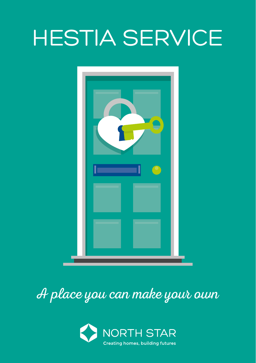## HESTIA SERVICE



#### A place you can make your own

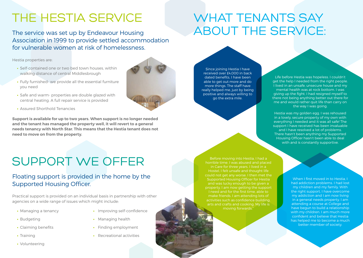### THE HESTIA SERVICE WHAT TENANTS SAY

The service was set up by Endeavour Housing Association in 1999 to provide settled accommodation for vulnerable women at risk of homelessness.

Hestia properties are:

- **•** Self-contained one or two bed town houses, within walking distance of central Middlesbrough
- **•** Fully furnished- we provide all the essential furniture you need
- **•** Safe and warm- properties are double glazed with central heating. A full repair service is provided
- **•** Assured Shorthold Tenancies

**Support is available for up to two years. When support is no longer needed and the tenant has managed the property well, it will revert to a general needs tenancy with North Star. This means that the Hestia tenant does not need to move on from the property.**

#### SUPPORT WE OFFER

#### Floating support is provided in the home by the Supported Housing Officer.

Practical support is provided on an individual basis in partnership with other agencies on a wide range of issues which might include:

**•** Managing a tenancy

**•** Claiming benefits

- **•** Improving self-confidence
- **•** Managing health
	- **•** Finding employment
	- **•** Recreational activities

**•** Volunteering

**•** Training

**•** Budgeting



# ABOUT THE SERVICE:

Since joining Hestia I have received over £4,000 in back dated benefits, I have been able to get out more and do more things. The staff have really helped me, just by being positive and always willing to go the extra mile.

Life before Hestia was hopeless. I couldn't get the help I needed from the right people. I lived in an unsafe, unsecure house and my mental health was at rock bottom. I was giving up the fight. I had resigned myself to there not being anything better out there for me and would rather quit life than carry on the way I was going.

Hestia was my golden egg. I was rehoused in a lovely, secure property of my own with everything I needed and it was all safe! The support I have received has been invaluable and I have resolved a lot of problems. There hasn't been anything my Supported Housing Officer hasn't been able to deal with and is constantly supportive.

Before moving into Hestia, I had a horrible time. I was abused and placed in Care for three years. I lived in a Hostel, I felt unsafe and thought life could not get any worse. I then met the Supported Housing Officer for Hestia and was lucky enough to be given a property. I am now getting the support I need and for the first time, able to make friends. I am attending lots of activities such as confidence building, arts and crafts and cooking. My life is moving forwards.''

When I first moved in to Hestia, I had addiction problems. I had lost my children and my family. With the right support, I have overcome my addiction and I am now living in a general needs property. I am attending a course at College and have begun to build a relationship with my children. I am much more confident and believe that Hestia has helped me to become a much better member of society.